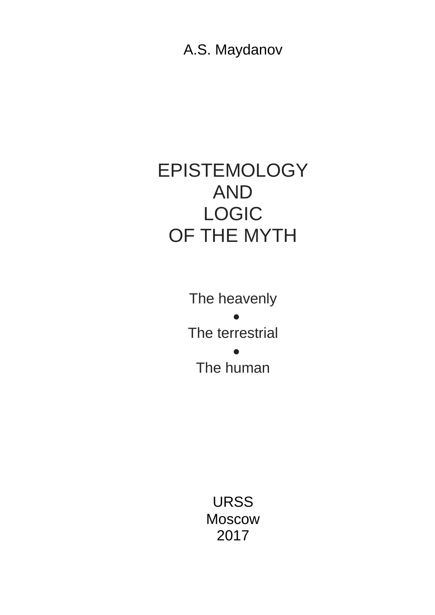A.S. Maydanov

# EPISTEMOLOGY AND LOGIC OF THE MYTH

The heavenly  $\bullet$ The terrestrial  $\bullet$ The human

> URSS Moscow 2017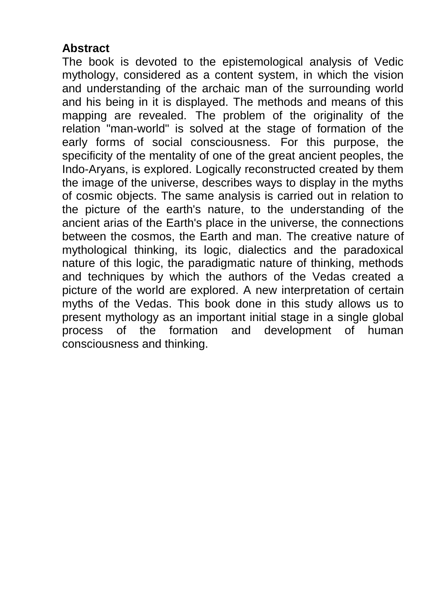#### **Abstract**

The book is devoted to the epistemological analysis of Vedic mythology, considered as a content system, in which the vision and understanding of the archaic man of the surrounding world and his being in it is displayed. The methods and means of this mapping are revealed. The problem of the originality of the relation "man-world" is solved at the stage of formation of the early forms of social consciousness. For this purpose, the specificity of the mentality of one of the great ancient peoples, the Indo-Aryans, is explored. Logically reconstructed created by them the image of the universe, describes ways to display in the myths of cosmic objects. The same analysis is carried out in relation to the picture of the earth's nature, to the understanding of the ancient arias of the Earth's place in the universe, the connections between the cosmos, the Earth and man. The creative nature of mythological thinking, its logic, dialectics and the paradoxical nature of this logic, the paradigmatic nature of thinking, methods and techniques by which the authors of the Vedas created a picture of the world are explored. A new interpretation of certain myths of the Vedas. This book done in this study allows us to present mythology as an important initial stage in a single global process of the formation and development of human consciousness and thinking.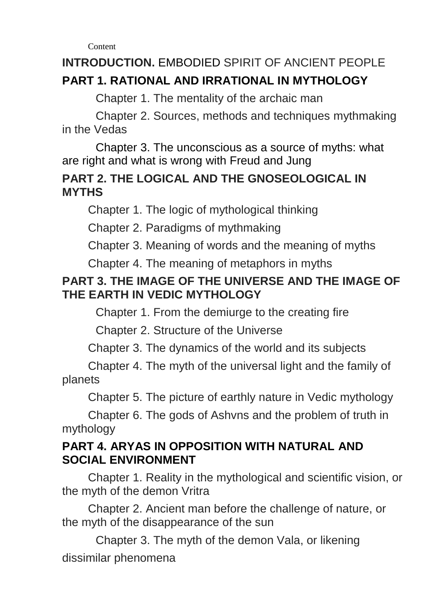**Content** 

# **INTRODUCTION.** EMBODIED SPIRIT OF ANCIENT PEOPLE **PART 1. RATIONAL AND IRRATIONAL IN MYTHOLOGY**

Chapter 1. The mentality of the archaic man

Chapter 2. Sources, methods and techniques mythmaking in the Vedas

Chapter 3. The unconscious as a source of myths: what are right and what is wrong with Freud and Jung

### **PART 2. THE LOGICAL AND THE GNOSEOLOGICAL IN MYTHS**

Chapter 1. The logic of mythological thinking

Chapter 2. Paradigms of mythmaking

Chapter 3. Meaning of words and the meaning of myths

Chapter 4. The meaning of metaphors in myths

## **PART 3. THE IMAGE OF THE UNIVERSE AND THE IMAGE OF THE EARTH IN VEDIC MYTHOLOGY**

Chapter 1. From the demiurge to the creating fire

Chapter 2. Structure of the Universe

Chapter 3. The dynamics of the world and its subjects

Chapter 4. The myth of the universal light and the family of planets

Chapter 5. The picture of earthly nature in Vedic mythology

Chapter 6. The gods of Ashvns and the problem of truth in mythology

#### **PART 4. ARYAS IN OPPOSITION WITH NATURAL AND SOCIAL ENVIRONMENT**

Chapter 1. Reality in the mythological and scientific vision, or the myth of the demon Vritra

Chapter 2. Ancient man before the challenge of nature, or the myth of the disappearance of the sun

Chapter 3. The myth of the demon Vala, or likening dissimilar phenomena